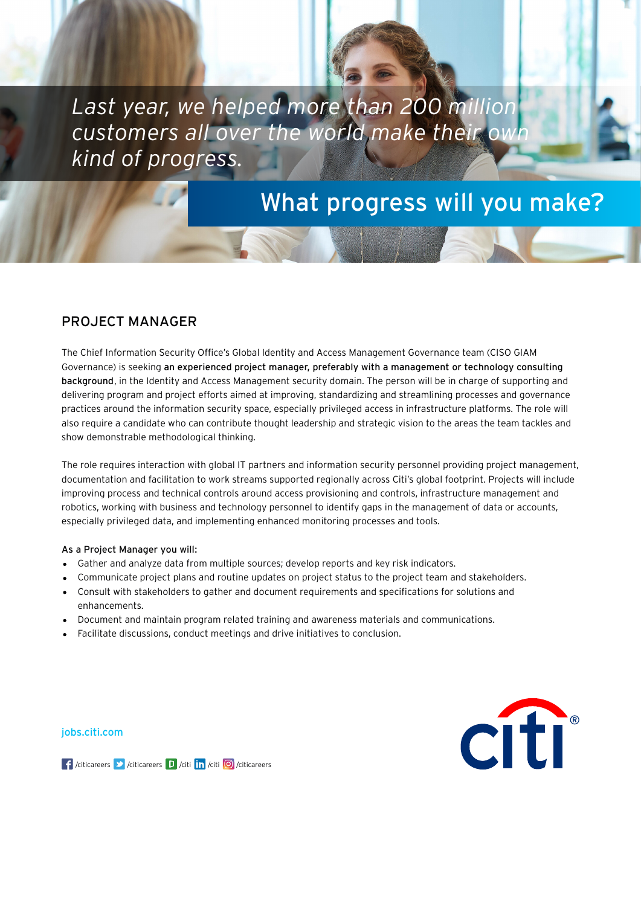*Last year, we helped more than 200 million customers all over the world make their own kind of progress.*

# What progress will you make?

# PROJECT MANAGER

The Chief Information Security Office's Global Identity and Access Management Governance team (CISO GIAM Governance) is seeking an experienced project manager, preferably with a management or technology consulting background, in the Identity and Access Management security domain. The person will be in charge of supporting and delivering program and project efforts aimed at improving, standardizing and streamlining processes and governance practices around the information security space, especially privileged access in infrastructure platforms. The role will also require a candidate who can contribute thought leadership and strategic vision to the areas the team tackles and show demonstrable methodological thinking.

The role requires interaction with global IT partners and information security personnel providing project management, documentation and facilitation to work streams supported regionally across Citi's global footprint. Projects will include improving process and technical controls around access provisioning and controls, infrastructure management and robotics, working with business and technology personnel to identify gaps in the management of data or accounts, especially privileged data, and implementing enhanced monitoring processes and tools.

### As a Project Manager you will:

- Gather and analyze data from multiple sources; develop reports and key risk indicators.
- Communicate project plans and routine updates on project status to the project team and stakeholders.
- Consult with stakeholders to gather and document requirements and specifications for solutions and enhancements.
- Document and maintain program related training and awareness materials and communications.
- Facilitate discussions, conduct meetings and drive initiatives to conclusion.

[jobs.citi.com](http://jobs.citi.com/)



 $\int$  /citicareers  $\int$  /citicareers  $\int$  /citi  $\int$  /citi  $\int$  /citicareers